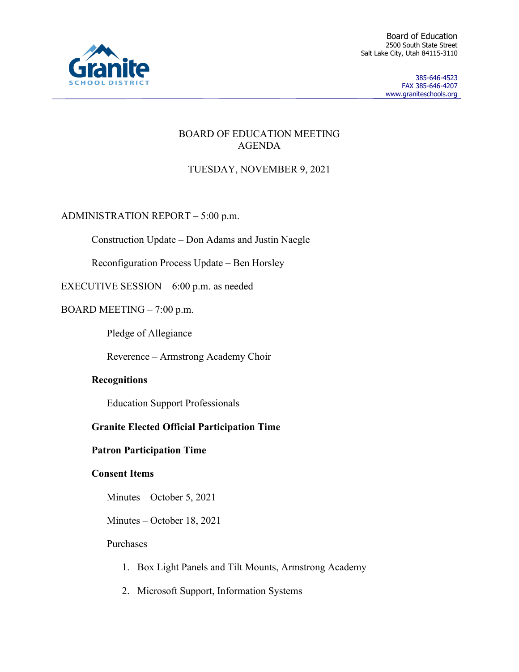

Board of Education 2500 South State Street Salt Lake City, Utah 84115-3110

> 385-646-4523 FAX 385-646-4207 www.graniteschools.org

## BOARD OF EDUCATION MEETING AGENDA

# TUESDAY, NOVEMBER 9, 2021

ADMINISTRATION REPORT – 5:00 p.m.

Construction Update – Don Adams and Justin Naegle

Reconfiguration Process Update – Ben Horsley

EXECUTIVE SESSION – 6:00 p.m. as needed

BOARD MEETING – 7:00 p.m.

Pledge of Allegiance

Reverence – Armstrong Academy Choir

## **Recognitions**

Education Support Professionals

## **Granite Elected Official Participation Time**

## **Patron Participation Time**

## **Consent Items**

Minutes – October 5, 2021

Minutes – October 18, 2021

#### Purchases

- 1. Box Light Panels and Tilt Mounts, Armstrong Academy
- 2. Microsoft Support, Information Systems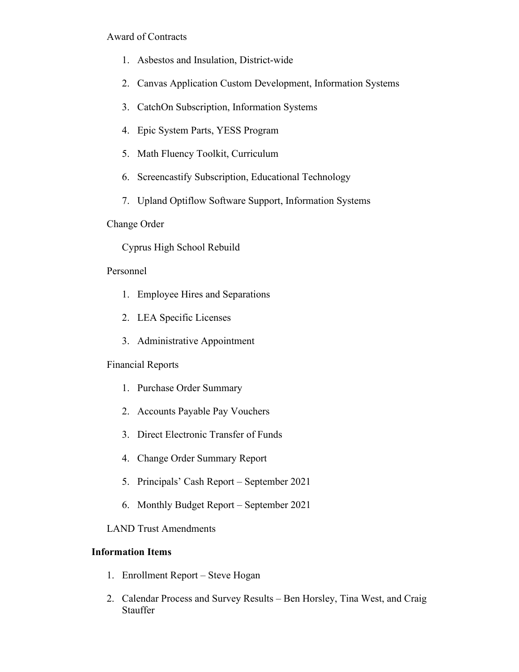## Award of Contracts

- 1. Asbestos and Insulation, District-wide
- 2. Canvas Application Custom Development, Information Systems
- 3. CatchOn Subscription, Information Systems
- 4. Epic System Parts, YESS Program
- 5. Math Fluency Toolkit, Curriculum
- 6. Screencastify Subscription, Educational Technology
- 7. Upland Optiflow Software Support, Information Systems

## Change Order

# Cyprus High School Rebuild

## Personnel

- 1. Employee Hires and Separations
- 2. LEA Specific Licenses
- 3. Administrative Appointment

## Financial Reports

- 1. Purchase Order Summary
- 2. Accounts Payable Pay Vouchers
- 3. Direct Electronic Transfer of Funds
- 4. Change Order Summary Report
- 5. Principals' Cash Report September 2021
- 6. Monthly Budget Report September 2021

## LAND Trust Amendments

## **Information Items**

- 1. Enrollment Report Steve Hogan
- 2. Calendar Process and Survey Results Ben Horsley, Tina West, and Craig Stauffer